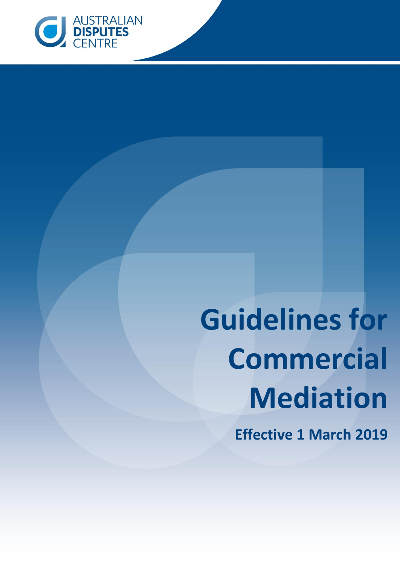

# **Guidelines for Commercial Mediation**

**Effective 1 March 2019**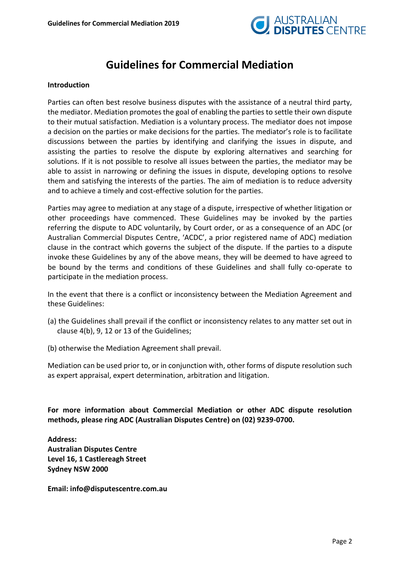

# **Guidelines for Commercial Mediation**

#### **Introduction**

Parties can often best resolve business disputes with the assistance of a neutral third party, the mediator. Mediation promotes the goal of enabling the parties to settle their own dispute to their mutual satisfaction. Mediation is a voluntary process. The mediator does not impose a decision on the parties or make decisions for the parties. The mediator's role is to facilitate discussions between the parties by identifying and clarifying the issues in dispute, and assisting the parties to resolve the dispute by exploring alternatives and searching for solutions. If it is not possible to resolve all issues between the parties, the mediator may be able to assist in narrowing or defining the issues in dispute, developing options to resolve them and satisfying the interests of the parties. The aim of mediation is to reduce adversity and to achieve a timely and cost-effective solution for the parties.

Parties may agree to mediation at any stage of a dispute, irrespective of whether litigation or other proceedings have commenced. These Guidelines may be invoked by the parties referring the dispute to ADC voluntarily, by Court order, or as a consequence of an ADC (or Australian Commercial Disputes Centre, 'ACDC', a prior registered name of ADC) mediation clause in the contract which governs the subject of the dispute. If the parties to a dispute invoke these Guidelines by any of the above means, they will be deemed to have agreed to be bound by the terms and conditions of these Guidelines and shall fully co-operate to participate in the mediation process.

In the event that there is a conflict or inconsistency between the Mediation Agreement and these Guidelines:

- (a) the Guidelines shall prevail if the conflict or inconsistency relates to any matter set out in clause 4(b), 9, 12 or 13 of the Guidelines;
- (b) otherwise the Mediation Agreement shall prevail.

Mediation can be used prior to, or in conjunction with, other forms of dispute resolution such as expert appraisal, expert determination, arbitration and litigation.

**For more information about Commercial Mediation or other ADC dispute resolution methods, please ring ADC (Australian Disputes Centre) on (02) 9239-0700.**

**Address: Australian Disputes Centre Level 16, 1 Castlereagh Street Sydney NSW 2000**

**Email: info@disputescentre.com.au**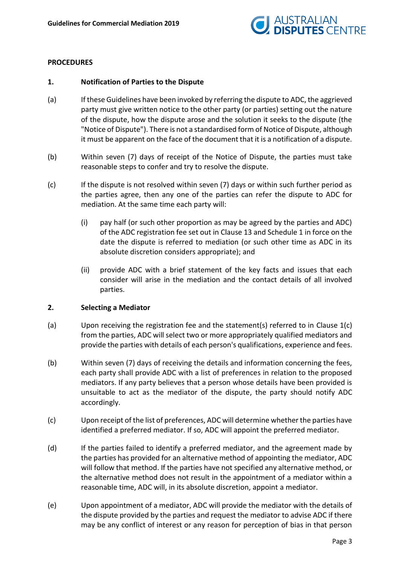

## **PROCEDURES**

#### **1. Notification of Parties to the Dispute**

- (a) If these Guidelines have been invoked by referring the dispute to ADC, the aggrieved party must give written notice to the other party (or parties) setting out the nature of the dispute, how the dispute arose and the solution it seeks to the dispute (the "Notice of Dispute"). There is not a standardised form of Notice of Dispute, although it must be apparent on the face of the document that it is a notification of a dispute.
- (b) Within seven (7) days of receipt of the Notice of Dispute, the parties must take reasonable steps to confer and try to resolve the dispute.
- (c) If the dispute is not resolved within seven (7) days or within such further period as the parties agree, then any one of the parties can refer the dispute to ADC for mediation. At the same time each party will:
	- (i) pay half (or such other proportion as may be agreed by the parties and ADC) of the ADC registration fee set out in Clause 13 and Schedule 1 in force on the date the dispute is referred to mediation (or such other time as ADC in its absolute discretion considers appropriate); and
	- (ii) provide ADC with a brief statement of the key facts and issues that each consider will arise in the mediation and the contact details of all involved parties.

#### **2. Selecting a Mediator**

- (a) Upon receiving the registration fee and the statement(s) referred to in Clause 1(c) from the parties, ADC will select two or more appropriately qualified mediators and provide the parties with details of each person's qualifications, experience and fees.
- (b) Within seven (7) days of receiving the details and information concerning the fees, each party shall provide ADC with a list of preferences in relation to the proposed mediators. If any party believes that a person whose details have been provided is unsuitable to act as the mediator of the dispute, the party should notify ADC accordingly.
- (c) Upon receipt of the list of preferences, ADC will determine whether the parties have identified a preferred mediator. If so, ADC will appoint the preferred mediator.
- (d) If the parties failed to identify a preferred mediator, and the agreement made by the parties has provided for an alternative method of appointing the mediator, ADC will follow that method. If the parties have not specified any alternative method, or the alternative method does not result in the appointment of a mediator within a reasonable time, ADC will, in its absolute discretion, appoint a mediator.
- (e) Upon appointment of a mediator, ADC will provide the mediator with the details of the dispute provided by the parties and request the mediator to advise ADC if there may be any conflict of interest or any reason for perception of bias in that person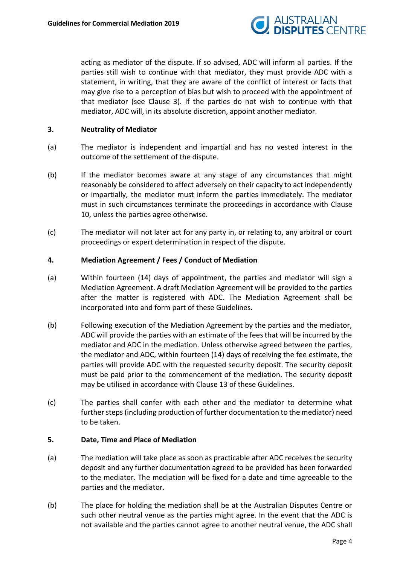

acting as mediator of the dispute. If so advised, ADC will inform all parties. If the parties still wish to continue with that mediator, they must provide ADC with a statement, in writing, that they are aware of the conflict of interest or facts that may give rise to a perception of bias but wish to proceed with the appointment of that mediator (see Clause 3). If the parties do not wish to continue with that mediator, ADC will, in its absolute discretion, appoint another mediator.

## **3. Neutrality of Mediator**

- (a) The mediator is independent and impartial and has no vested interest in the outcome of the settlement of the dispute.
- (b) If the mediator becomes aware at any stage of any circumstances that might reasonably be considered to affect adversely on their capacity to act independently or impartially, the mediator must inform the parties immediately. The mediator must in such circumstances terminate the proceedings in accordance with Clause 10, unless the parties agree otherwise.
- (c) The mediator will not later act for any party in, or relating to, any arbitral or court proceedings or expert determination in respect of the dispute.

#### **4. Mediation Agreement / Fees / Conduct of Mediation**

- (a) Within fourteen (14) days of appointment, the parties and mediator will sign a Mediation Agreement. A draft Mediation Agreement will be provided to the parties after the matter is registered with ADC. The Mediation Agreement shall be incorporated into and form part of these Guidelines.
- (b) Following execution of the Mediation Agreement by the parties and the mediator, ADC will provide the parties with an estimate of the fees that will be incurred by the mediator and ADC in the mediation. Unless otherwise agreed between the parties, the mediator and ADC, within fourteen (14) days of receiving the fee estimate, the parties will provide ADC with the requested security deposit. The security deposit must be paid prior to the commencement of the mediation. The security deposit may be utilised in accordance with Clause 13 of these Guidelines.
- (c) The parties shall confer with each other and the mediator to determine what further steps(including production of further documentation to the mediator) need to be taken.

# **5. Date, Time and Place of Mediation**

- (a) The mediation will take place as soon as practicable after ADC receives the security deposit and any further documentation agreed to be provided has been forwarded to the mediator. The mediation will be fixed for a date and time agreeable to the parties and the mediator.
- (b) The place for holding the mediation shall be at the Australian Disputes Centre or such other neutral venue as the parties might agree. In the event that the ADC is not available and the parties cannot agree to another neutral venue, the ADC shall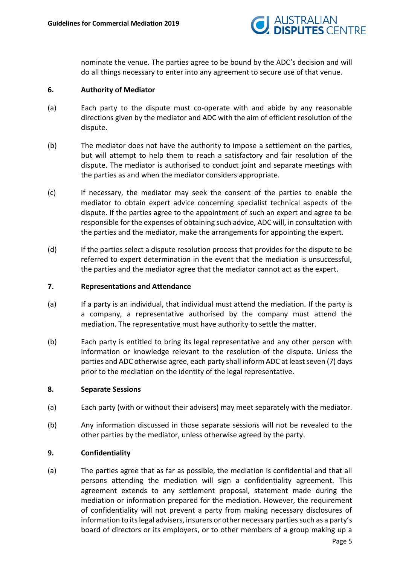

nominate the venue. The parties agree to be bound by the ADC's decision and will do all things necessary to enter into any agreement to secure use of that venue.

## **6. Authority of Mediator**

- (a) Each party to the dispute must co-operate with and abide by any reasonable directions given by the mediator and ADC with the aim of efficient resolution of the dispute.
- (b) The mediator does not have the authority to impose a settlement on the parties, but will attempt to help them to reach a satisfactory and fair resolution of the dispute. The mediator is authorised to conduct joint and separate meetings with the parties as and when the mediator considers appropriate.
- (c) If necessary, the mediator may seek the consent of the parties to enable the mediator to obtain expert advice concerning specialist technical aspects of the dispute. If the parties agree to the appointment of such an expert and agree to be responsible for the expenses of obtaining such advice, ADC will, in consultation with the parties and the mediator, make the arrangements for appointing the expert.
- (d) If the parties select a dispute resolution process that provides for the dispute to be referred to expert determination in the event that the mediation is unsuccessful, the parties and the mediator agree that the mediator cannot act as the expert.

#### **7. Representations and Attendance**

- (a) If a party is an individual, that individual must attend the mediation. If the party is a company, a representative authorised by the company must attend the mediation. The representative must have authority to settle the matter.
- (b) Each party is entitled to bring its legal representative and any other person with information or knowledge relevant to the resolution of the dispute. Unless the parties and ADC otherwise agree, each party shall inform ADC at least seven (7) days prior to the mediation on the identity of the legal representative.

#### **8. Separate Sessions**

- (a) Each party (with or without their advisers) may meet separately with the mediator.
- (b) Any information discussed in those separate sessions will not be revealed to the other parties by the mediator, unless otherwise agreed by the party.

# **9. Confidentiality**

(a) The parties agree that as far as possible, the mediation is confidential and that all persons attending the mediation will sign a confidentiality agreement. This agreement extends to any settlement proposal, statement made during the mediation or information prepared for the mediation. However, the requirement of confidentiality will not prevent a party from making necessary disclosures of information to its legal advisers, insurers or other necessary parties such as a party's board of directors or its employers, or to other members of a group making up a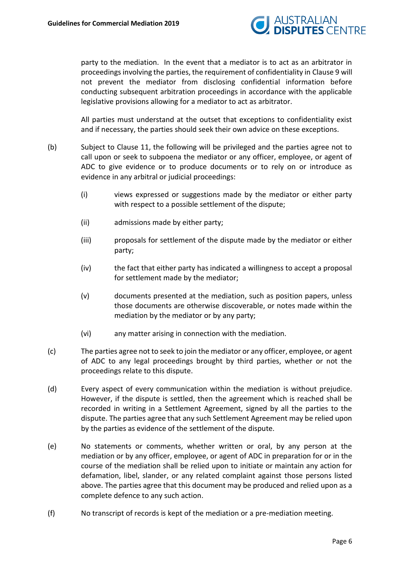

party to the mediation. In the event that a mediator is to act as an arbitrator in proceedings involving the parties, the requirement of confidentiality in Clause 9 will not prevent the mediator from disclosing confidential information before conducting subsequent arbitration proceedings in accordance with the applicable legislative provisions allowing for a mediator to act as arbitrator.

All parties must understand at the outset that exceptions to confidentiality exist and if necessary, the parties should seek their own advice on these exceptions.

- (b) Subject to Clause 11, the following will be privileged and the parties agree not to call upon or seek to subpoena the mediator or any officer, employee, or agent of ADC to give evidence or to produce documents or to rely on or introduce as evidence in any arbitral or judicial proceedings:
	- (i) views expressed or suggestions made by the mediator or either party with respect to a possible settlement of the dispute;
	- (ii) admissions made by either party;
	- (iii) proposals for settlement of the dispute made by the mediator or either party;
	- (iv) the fact that either party has indicated a willingness to accept a proposal for settlement made by the mediator;
	- (v) documents presented at the mediation, such as position papers, unless those documents are otherwise discoverable, or notes made within the mediation by the mediator or by any party;
	- (vi) any matter arising in connection with the mediation.
- (c) The parties agree not to seek to join the mediator or any officer, employee, or agent of ADC to any legal proceedings brought by third parties, whether or not the proceedings relate to this dispute.
- (d) Every aspect of every communication within the mediation is without prejudice. However, if the dispute is settled, then the agreement which is reached shall be recorded in writing in a Settlement Agreement, signed by all the parties to the dispute. The parties agree that any such Settlement Agreement may be relied upon by the parties as evidence of the settlement of the dispute.
- (e) No statements or comments, whether written or oral, by any person at the mediation or by any officer, employee, or agent of ADC in preparation for or in the course of the mediation shall be relied upon to initiate or maintain any action for defamation, libel, slander, or any related complaint against those persons listed above. The parties agree that this document may be produced and relied upon as a complete defence to any such action.
- (f) No transcript of records is kept of the mediation or a pre-mediation meeting.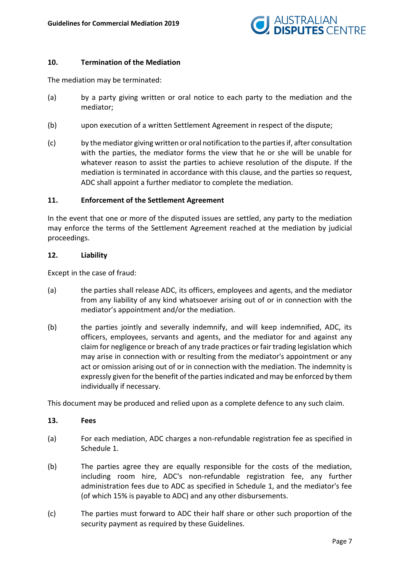

# **10. Termination of the Mediation**

The mediation may be terminated:

- (a) by a party giving written or oral notice to each party to the mediation and the mediator;
- (b) upon execution of a written Settlement Agreement in respect of the dispute;
- (c) by the mediator giving written or oral notification to the parties if, after consultation with the parties, the mediator forms the view that he or she will be unable for whatever reason to assist the parties to achieve resolution of the dispute. If the mediation is terminated in accordance with this clause, and the parties so request, ADC shall appoint a further mediator to complete the mediation.

#### **11. Enforcement of the Settlement Agreement**

In the event that one or more of the disputed issues are settled, any party to the mediation may enforce the terms of the Settlement Agreement reached at the mediation by judicial proceedings.

#### **12. Liability**

Except in the case of fraud:

- (a) the parties shall release ADC, its officers, employees and agents, and the mediator from any liability of any kind whatsoever arising out of or in connection with the mediator's appointment and/or the mediation.
- (b) the parties jointly and severally indemnify, and will keep indemnified, ADC, its officers, employees, servants and agents, and the mediator for and against any claim for negligence or breach of any trade practices or fair trading legislation which may arise in connection with or resulting from the mediator's appointment or any act or omission arising out of or in connection with the mediation. The indemnity is expressly given for the benefit of the parties indicated and may be enforced by them individually if necessary.

This document may be produced and relied upon as a complete defence to any such claim.

#### **13. Fees**

- (a) For each mediation, ADC charges a non-refundable registration fee as specified in Schedule 1.
- (b) The parties agree they are equally responsible for the costs of the mediation, including room hire, ADC's non-refundable registration fee, any further administration fees due to ADC as specified in Schedule 1, and the mediator's fee (of which 15% is payable to ADC) and any other disbursements.
- (c) The parties must forward to ADC their half share or other such proportion of the security payment as required by these Guidelines.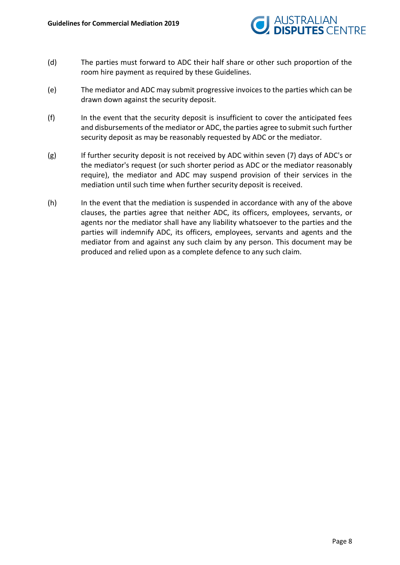

- (d) The parties must forward to ADC their half share or other such proportion of the room hire payment as required by these Guidelines.
- (e) The mediator and ADC may submit progressive invoices to the parties which can be drawn down against the security deposit.
- (f) In the event that the security deposit is insufficient to cover the anticipated fees and disbursements of the mediator or ADC, the parties agree to submit such further security deposit as may be reasonably requested by ADC or the mediator.
- (g) If further security deposit is not received by ADC within seven (7) days of ADC's or the mediator's request (or such shorter period as ADC or the mediator reasonably require), the mediator and ADC may suspend provision of their services in the mediation until such time when further security deposit is received.
- (h) In the event that the mediation is suspended in accordance with any of the above clauses, the parties agree that neither ADC, its officers, employees, servants, or agents nor the mediator shall have any liability whatsoever to the parties and the parties will indemnify ADC, its officers, employees, servants and agents and the mediator from and against any such claim by any person. This document may be produced and relied upon as a complete defence to any such claim.